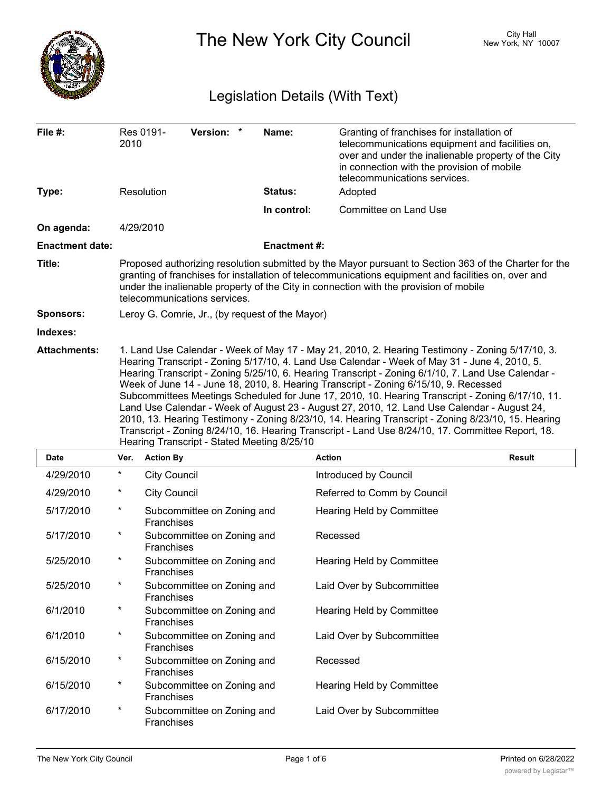

The New York City Council New York, NY 10007

# Legislation Details (With Text)

| File #:                | 2010                                                                                                                                                                                                                                                                                                                                                                                                                                                                                                                                                                                                                                                                                                                                                                                                                                                        | Res 0191-           | Version: *                 | Name:              | Granting of franchises for installation of<br>telecommunications equipment and facilities on,<br>over and under the inalienable property of the City<br>in connection with the provision of mobile<br>telecommunications services. |               |  |  |
|------------------------|-------------------------------------------------------------------------------------------------------------------------------------------------------------------------------------------------------------------------------------------------------------------------------------------------------------------------------------------------------------------------------------------------------------------------------------------------------------------------------------------------------------------------------------------------------------------------------------------------------------------------------------------------------------------------------------------------------------------------------------------------------------------------------------------------------------------------------------------------------------|---------------------|----------------------------|--------------------|------------------------------------------------------------------------------------------------------------------------------------------------------------------------------------------------------------------------------------|---------------|--|--|
| Type:                  |                                                                                                                                                                                                                                                                                                                                                                                                                                                                                                                                                                                                                                                                                                                                                                                                                                                             | Resolution          |                            | Status:            | Adopted                                                                                                                                                                                                                            |               |  |  |
|                        |                                                                                                                                                                                                                                                                                                                                                                                                                                                                                                                                                                                                                                                                                                                                                                                                                                                             |                     |                            | In control:        | Committee on Land Use                                                                                                                                                                                                              |               |  |  |
| On agenda:             | 4/29/2010                                                                                                                                                                                                                                                                                                                                                                                                                                                                                                                                                                                                                                                                                                                                                                                                                                                   |                     |                            |                    |                                                                                                                                                                                                                                    |               |  |  |
| <b>Enactment date:</b> |                                                                                                                                                                                                                                                                                                                                                                                                                                                                                                                                                                                                                                                                                                                                                                                                                                                             |                     |                            | <b>Enactment#:</b> |                                                                                                                                                                                                                                    |               |  |  |
| Title:                 | Proposed authorizing resolution submitted by the Mayor pursuant to Section 363 of the Charter for the<br>granting of franchises for installation of telecommunications equipment and facilities on, over and<br>under the inalienable property of the City in connection with the provision of mobile<br>telecommunications services.                                                                                                                                                                                                                                                                                                                                                                                                                                                                                                                       |                     |                            |                    |                                                                                                                                                                                                                                    |               |  |  |
| Sponsors:              | Leroy G. Comrie, Jr., (by request of the Mayor)                                                                                                                                                                                                                                                                                                                                                                                                                                                                                                                                                                                                                                                                                                                                                                                                             |                     |                            |                    |                                                                                                                                                                                                                                    |               |  |  |
| Indexes:               |                                                                                                                                                                                                                                                                                                                                                                                                                                                                                                                                                                                                                                                                                                                                                                                                                                                             |                     |                            |                    |                                                                                                                                                                                                                                    |               |  |  |
| <b>Attachments:</b>    | 1. Land Use Calendar - Week of May 17 - May 21, 2010, 2. Hearing Testimony - Zoning 5/17/10, 3.<br>Hearing Transcript - Zoning 5/17/10, 4. Land Use Calendar - Week of May 31 - June 4, 2010, 5.<br>Hearing Transcript - Zoning 5/25/10, 6. Hearing Transcript - Zoning 6/1/10, 7. Land Use Calendar -<br>Week of June 14 - June 18, 2010, 8. Hearing Transcript - Zoning 6/15/10, 9. Recessed<br>Subcommittees Meetings Scheduled for June 17, 2010, 10. Hearing Transcript - Zoning 6/17/10, 11.<br>Land Use Calendar - Week of August 23 - August 27, 2010, 12. Land Use Calendar - August 24,<br>2010, 13. Hearing Testimony - Zoning 8/23/10, 14. Hearing Transcript - Zoning 8/23/10, 15. Hearing<br>Transcript - Zoning 8/24/10, 16. Hearing Transcript - Land Use 8/24/10, 17. Committee Report, 18.<br>Hearing Transcript - Stated Meeting 8/25/10 |                     |                            |                    |                                                                                                                                                                                                                                    |               |  |  |
| <b>Date</b>            | Ver.                                                                                                                                                                                                                                                                                                                                                                                                                                                                                                                                                                                                                                                                                                                                                                                                                                                        | <b>Action By</b>    |                            |                    | <b>Action</b>                                                                                                                                                                                                                      | <b>Result</b> |  |  |
| 4/29/2010              | $\star$                                                                                                                                                                                                                                                                                                                                                                                                                                                                                                                                                                                                                                                                                                                                                                                                                                                     | <b>City Council</b> |                            |                    | Introduced by Council                                                                                                                                                                                                              |               |  |  |
| 4/29/2010              | $^\star$                                                                                                                                                                                                                                                                                                                                                                                                                                                                                                                                                                                                                                                                                                                                                                                                                                                    | <b>City Council</b> |                            |                    | Referred to Comm by Council                                                                                                                                                                                                        |               |  |  |
| 5/17/2010              | $\star$                                                                                                                                                                                                                                                                                                                                                                                                                                                                                                                                                                                                                                                                                                                                                                                                                                                     | <b>Franchises</b>   | Subcommittee on Zoning and |                    | Hearing Held by Committee                                                                                                                                                                                                          |               |  |  |
| 5/17/2010              | $\ast$                                                                                                                                                                                                                                                                                                                                                                                                                                                                                                                                                                                                                                                                                                                                                                                                                                                      | <b>Franchises</b>   | Subcommittee on Zoning and |                    | Recessed                                                                                                                                                                                                                           |               |  |  |
| 5/25/2010              | $^\star$                                                                                                                                                                                                                                                                                                                                                                                                                                                                                                                                                                                                                                                                                                                                                                                                                                                    | Franchises          | Subcommittee on Zoning and |                    | Hearing Held by Committee                                                                                                                                                                                                          |               |  |  |
| 5/25/2010              | $^\star$                                                                                                                                                                                                                                                                                                                                                                                                                                                                                                                                                                                                                                                                                                                                                                                                                                                    | Franchises          | Subcommittee on Zoning and |                    | Laid Over by Subcommittee                                                                                                                                                                                                          |               |  |  |
| 6/1/2010               | $\ast$                                                                                                                                                                                                                                                                                                                                                                                                                                                                                                                                                                                                                                                                                                                                                                                                                                                      | Franchises          | Subcommittee on Zoning and |                    | Hearing Held by Committee                                                                                                                                                                                                          |               |  |  |
| 6/1/2010               | $\star$                                                                                                                                                                                                                                                                                                                                                                                                                                                                                                                                                                                                                                                                                                                                                                                                                                                     | Franchises          | Subcommittee on Zoning and |                    | Laid Over by Subcommittee                                                                                                                                                                                                          |               |  |  |
| 6/15/2010              | $^\ast$                                                                                                                                                                                                                                                                                                                                                                                                                                                                                                                                                                                                                                                                                                                                                                                                                                                     | Franchises          | Subcommittee on Zoning and |                    | Recessed                                                                                                                                                                                                                           |               |  |  |
| 6/15/2010              | $^\ast$                                                                                                                                                                                                                                                                                                                                                                                                                                                                                                                                                                                                                                                                                                                                                                                                                                                     | Franchises          | Subcommittee on Zoning and |                    | Hearing Held by Committee                                                                                                                                                                                                          |               |  |  |
| 6/17/2010              | $^\star$                                                                                                                                                                                                                                                                                                                                                                                                                                                                                                                                                                                                                                                                                                                                                                                                                                                    | Franchises          | Subcommittee on Zoning and |                    | Laid Over by Subcommittee                                                                                                                                                                                                          |               |  |  |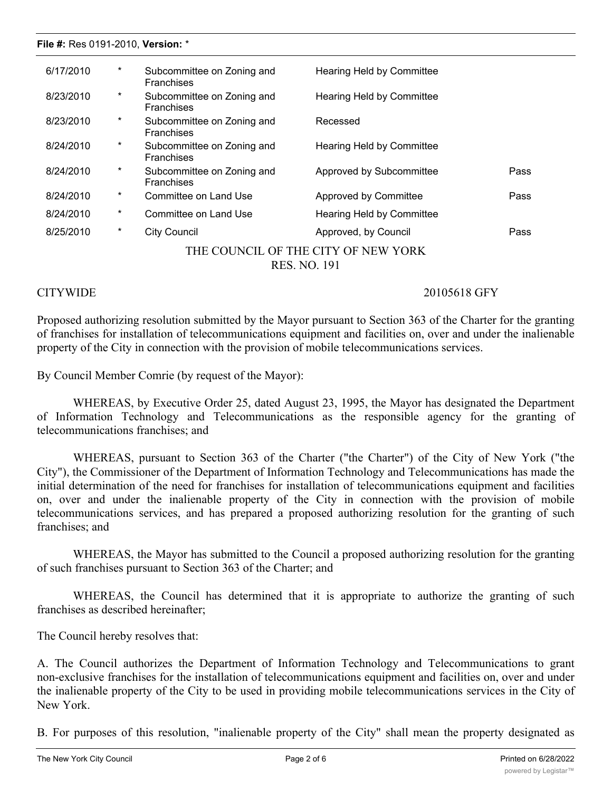### **File #:** Res 0191-2010, **Version:** \*

| 6/17/2010                           | $^\ast$  | Subcommittee on Zoning and<br><b>Franchises</b> | Hearing Held by Committee |      |  |  |  |
|-------------------------------------|----------|-------------------------------------------------|---------------------------|------|--|--|--|
| 8/23/2010                           | $^\star$ | Subcommittee on Zoning and<br><b>Franchises</b> | Hearing Held by Committee |      |  |  |  |
| 8/23/2010                           | $\ast$   | Subcommittee on Zoning and<br><b>Franchises</b> | Recessed                  |      |  |  |  |
| 8/24/2010                           | *        | Subcommittee on Zoning and<br><b>Franchises</b> | Hearing Held by Committee |      |  |  |  |
| 8/24/2010                           | *        | Subcommittee on Zoning and<br><b>Franchises</b> | Approved by Subcommittee  | Pass |  |  |  |
| 8/24/2010                           | *        | Committee on Land Use                           | Approved by Committee     | Pass |  |  |  |
| 8/24/2010                           | *        | Committee on Land Use                           | Hearing Held by Committee |      |  |  |  |
| 8/25/2010                           | *        | City Council                                    | Approved, by Council      | Pass |  |  |  |
| THE COUNCIL OF THE CITY OF NEW YORK |          |                                                 |                           |      |  |  |  |

RES. NO. 191

CITYWIDE 20105618 GFY

Proposed authorizing resolution submitted by the Mayor pursuant to Section 363 of the Charter for the granting of franchises for installation of telecommunications equipment and facilities on, over and under the inalienable property of the City in connection with the provision of mobile telecommunications services.

By Council Member Comrie (by request of the Mayor):

WHEREAS, by Executive Order 25, dated August 23, 1995, the Mayor has designated the Department of Information Technology and Telecommunications as the responsible agency for the granting of telecommunications franchises; and

WHEREAS, pursuant to Section 363 of the Charter ("the Charter") of the City of New York ("the City"), the Commissioner of the Department of Information Technology and Telecommunications has made the initial determination of the need for franchises for installation of telecommunications equipment and facilities on, over and under the inalienable property of the City in connection with the provision of mobile telecommunications services, and has prepared a proposed authorizing resolution for the granting of such franchises; and

WHEREAS, the Mayor has submitted to the Council a proposed authorizing resolution for the granting of such franchises pursuant to Section 363 of the Charter; and

WHEREAS, the Council has determined that it is appropriate to authorize the granting of such franchises as described hereinafter;

The Council hereby resolves that:

A. The Council authorizes the Department of Information Technology and Telecommunications to grant non-exclusive franchises for the installation of telecommunications equipment and facilities on, over and under the inalienable property of the City to be used in providing mobile telecommunications services in the City of New York.

B. For purposes of this resolution, "inalienable property of the City" shall mean the property designated as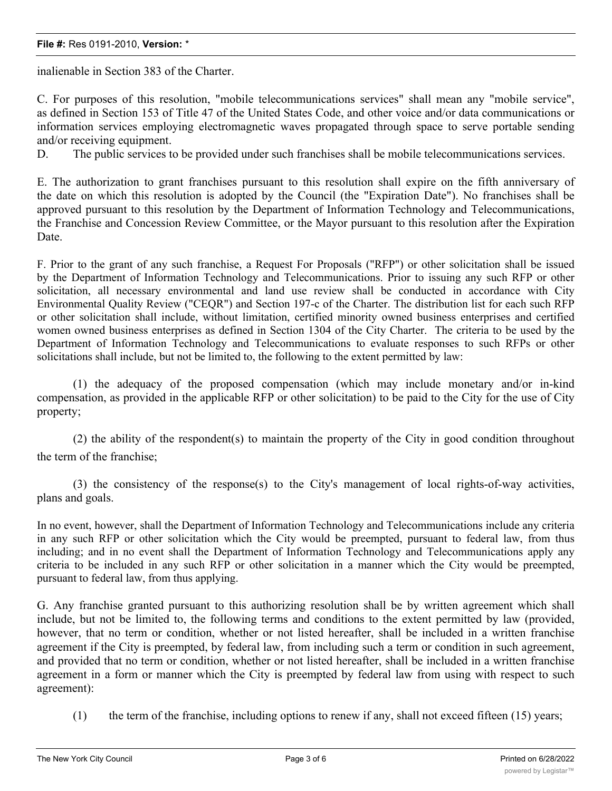## **File #:** Res 0191-2010, **Version:** \*

inalienable in Section 383 of the Charter.

C. For purposes of this resolution, "mobile telecommunications services" shall mean any "mobile service", as defined in Section 153 of Title 47 of the United States Code, and other voice and/or data communications or information services employing electromagnetic waves propagated through space to serve portable sending and/or receiving equipment.

D. The public services to be provided under such franchises shall be mobile telecommunications services.

E. The authorization to grant franchises pursuant to this resolution shall expire on the fifth anniversary of the date on which this resolution is adopted by the Council (the "Expiration Date"). No franchises shall be approved pursuant to this resolution by the Department of Information Technology and Telecommunications, the Franchise and Concession Review Committee, or the Mayor pursuant to this resolution after the Expiration Date.

F. Prior to the grant of any such franchise, a Request For Proposals ("RFP") or other solicitation shall be issued by the Department of Information Technology and Telecommunications. Prior to issuing any such RFP or other solicitation, all necessary environmental and land use review shall be conducted in accordance with City Environmental Quality Review ("CEQR") and Section 197-c of the Charter. The distribution list for each such RFP or other solicitation shall include, without limitation, certified minority owned business enterprises and certified women owned business enterprises as defined in Section 1304 of the City Charter. The criteria to be used by the Department of Information Technology and Telecommunications to evaluate responses to such RFPs or other solicitations shall include, but not be limited to, the following to the extent permitted by law:

(1) the adequacy of the proposed compensation (which may include monetary and/or in-kind compensation, as provided in the applicable RFP or other solicitation) to be paid to the City for the use of City property;

(2) the ability of the respondent(s) to maintain the property of the City in good condition throughout the term of the franchise;

(3) the consistency of the response(s) to the City's management of local rights-of-way activities, plans and goals.

In no event, however, shall the Department of Information Technology and Telecommunications include any criteria in any such RFP or other solicitation which the City would be preempted, pursuant to federal law, from thus including; and in no event shall the Department of Information Technology and Telecommunications apply any criteria to be included in any such RFP or other solicitation in a manner which the City would be preempted, pursuant to federal law, from thus applying.

G. Any franchise granted pursuant to this authorizing resolution shall be by written agreement which shall include, but not be limited to, the following terms and conditions to the extent permitted by law (provided, however, that no term or condition, whether or not listed hereafter, shall be included in a written franchise agreement if the City is preempted, by federal law, from including such a term or condition in such agreement, and provided that no term or condition, whether or not listed hereafter, shall be included in a written franchise agreement in a form or manner which the City is preempted by federal law from using with respect to such agreement):

(1) the term of the franchise, including options to renew if any, shall not exceed fifteen (15) years;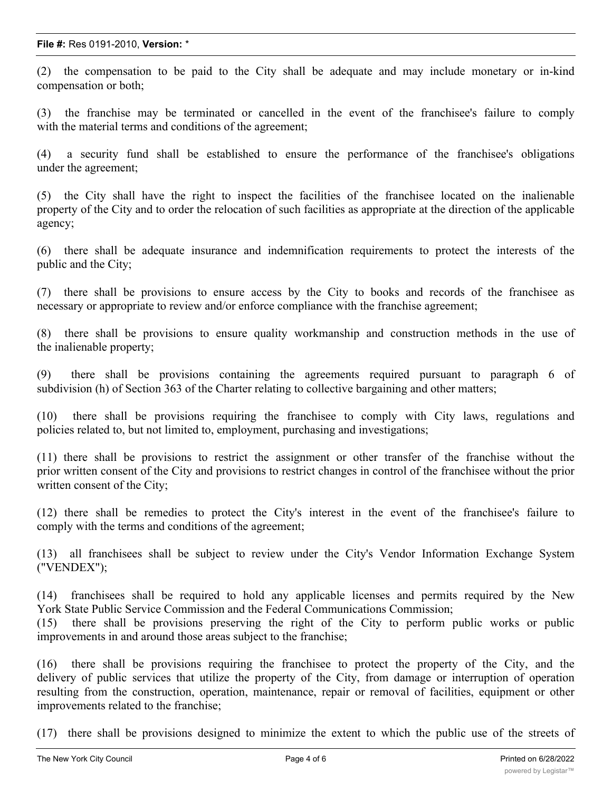(2) the compensation to be paid to the City shall be adequate and may include monetary or in-kind compensation or both;

(3) the franchise may be terminated or cancelled in the event of the franchisee's failure to comply with the material terms and conditions of the agreement;

(4) a security fund shall be established to ensure the performance of the franchisee's obligations under the agreement;

(5) the City shall have the right to inspect the facilities of the franchisee located on the inalienable property of the City and to order the relocation of such facilities as appropriate at the direction of the applicable agency;

(6) there shall be adequate insurance and indemnification requirements to protect the interests of the public and the City;

(7) there shall be provisions to ensure access by the City to books and records of the franchisee as necessary or appropriate to review and/or enforce compliance with the franchise agreement;

(8) there shall be provisions to ensure quality workmanship and construction methods in the use of the inalienable property;

(9) there shall be provisions containing the agreements required pursuant to paragraph 6 of subdivision (h) of Section 363 of the Charter relating to collective bargaining and other matters;

(10) there shall be provisions requiring the franchisee to comply with City laws, regulations and policies related to, but not limited to, employment, purchasing and investigations;

(11) there shall be provisions to restrict the assignment or other transfer of the franchise without the prior written consent of the City and provisions to restrict changes in control of the franchisee without the prior written consent of the City;

(12) there shall be remedies to protect the City's interest in the event of the franchisee's failure to comply with the terms and conditions of the agreement;

(13) all franchisees shall be subject to review under the City's Vendor Information Exchange System ("VENDEX");

(14) franchisees shall be required to hold any applicable licenses and permits required by the New York State Public Service Commission and the Federal Communications Commission;

(15) there shall be provisions preserving the right of the City to perform public works or public improvements in and around those areas subject to the franchise;

(16) there shall be provisions requiring the franchisee to protect the property of the City, and the delivery of public services that utilize the property of the City, from damage or interruption of operation resulting from the construction, operation, maintenance, repair or removal of facilities, equipment or other improvements related to the franchise;

(17) there shall be provisions designed to minimize the extent to which the public use of the streets of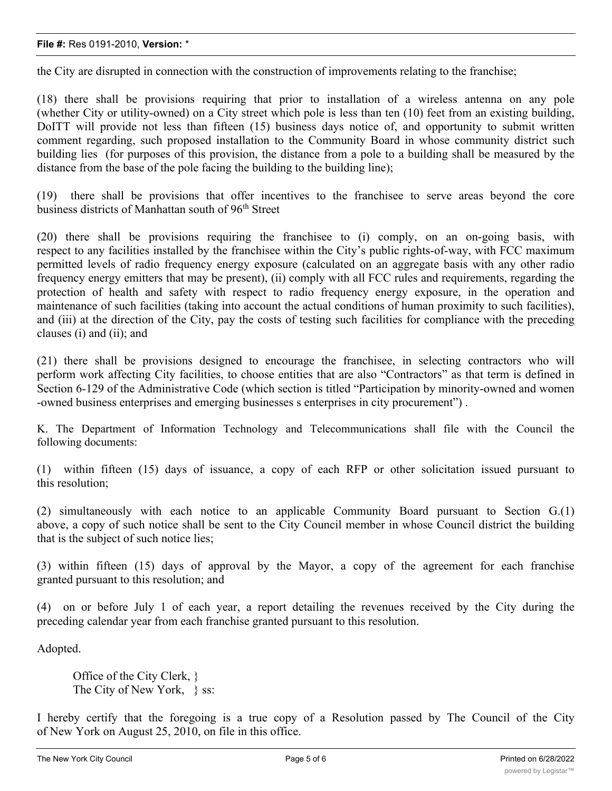## **File #:** Res 0191-2010, **Version:** \*

the City are disrupted in connection with the construction of improvements relating to the franchise;

(18) there shall be provisions requiring that prior to installation of a wireless antenna on any pole (whether City or utility-owned) on a City street which pole is less than ten (10) feet from an existing building, DoITT will provide not less than fifteen (15) business days notice of, and opportunity to submit written comment regarding, such proposed installation to the Community Board in whose community district such building lies (for purposes of this provision, the distance from a pole to a building shall be measured by the distance from the base of the pole facing the building to the building line);

(19) there shall be provisions that offer incentives to the franchisee to serve areas beyond the core business districts of Manhattan south of 96<sup>th</sup> Street

(20) there shall be provisions requiring the franchisee to (i) comply, on an on-going basis, with respect to any facilities installed by the franchisee within the City's public rights-of-way, with FCC maximum permitted levels of radio frequency energy exposure (calculated on an aggregate basis with any other radio frequency energy emitters that may be present), (ii) comply with all FCC rules and requirements, regarding the protection of health and safety with respect to radio frequency energy exposure, in the operation and maintenance of such facilities (taking into account the actual conditions of human proximity to such facilities), and (iii) at the direction of the City, pay the costs of testing such facilities for compliance with the preceding clauses (i) and (ii); and

(21) there shall be provisions designed to encourage the franchisee, in selecting contractors who will perform work affecting City facilities, to choose entities that are also "Contractors" as that term is defined in Section 6-129 of the Administrative Code (which section is titled "Participation by minority-owned and women -owned business enterprises and emerging businesses s enterprises in city procurement") .

K. The Department of Information Technology and Telecommunications shall file with the Council the following documents:

(1) within fifteen (15) days of issuance, a copy of each RFP or other solicitation issued pursuant to this resolution;

(2) simultaneously with each notice to an applicable Community Board pursuant to Section G.(1) above, a copy of such notice shall be sent to the City Council member in whose Council district the building that is the subject of such notice lies;

(3) within fifteen (15) days of approval by the Mayor, a copy of the agreement for each franchise granted pursuant to this resolution; and

(4) on or before July 1 of each year, a report detailing the revenues received by the City during the preceding calendar year from each franchise granted pursuant to this resolution.

Adopted.

Office of the City Clerk, } The City of New York, \; ss:

I hereby certify that the foregoing is a true copy of a Resolution passed by The Council of the City of New York on August 25, 2010, on file in this office.